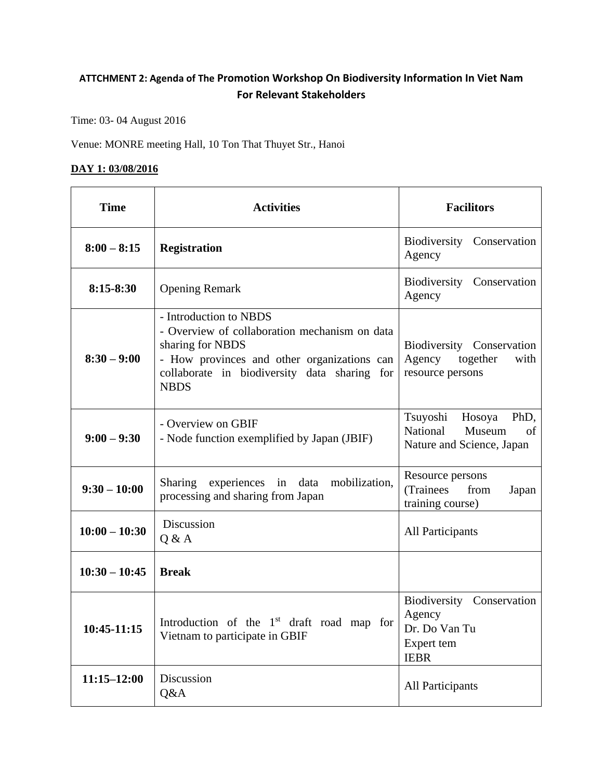## **ATTCHMENT 2: Agenda of The Promotion Workshop On Biodiversity Information In Viet Nam For Relevant Stakeholders**

Time: 03- 04 August 2016

Venue: MONRE meeting Hall, 10 Ton That Thuyet Str., Hanoi

## **DAY 1: 03/08/2016**

| <b>Time</b>     | <b>Activities</b>                                                                                                                                                                                         | <b>Facilitors</b>                                                                   |
|-----------------|-----------------------------------------------------------------------------------------------------------------------------------------------------------------------------------------------------------|-------------------------------------------------------------------------------------|
| $8:00 - 8:15$   | <b>Registration</b>                                                                                                                                                                                       | Biodiversity Conservation<br>Agency                                                 |
| 8:15-8:30       | <b>Opening Remark</b>                                                                                                                                                                                     | Biodiversity Conservation<br>Agency                                                 |
| $8:30 - 9:00$   | - Introduction to NBDS<br>- Overview of collaboration mechanism on data<br>sharing for NBDS<br>- How provinces and other organizations can<br>collaborate in biodiversity data sharing for<br><b>NBDS</b> | Biodiversity Conservation<br>Agency<br>together<br>with<br>resource persons         |
| $9:00 - 9:30$   | - Overview on GBIF<br>- Node function exemplified by Japan (JBIF)                                                                                                                                         | Tsuyoshi<br>Hosoya<br>PhD,<br>National<br>Museum<br>of<br>Nature and Science, Japan |
| $9:30 - 10:00$  | <b>Sharing</b><br>experiences in data<br>mobilization,<br>processing and sharing from Japan                                                                                                               | Resource persons<br>(Trainees<br>from<br>Japan<br>training course)                  |
| $10:00 - 10:30$ | Discussion<br>Q & A                                                                                                                                                                                       | All Participants                                                                    |
| $10:30 - 10:45$ | <b>Break</b>                                                                                                                                                                                              |                                                                                     |
| 10:45-11:15     | Introduction of the $1st$ draft road map for<br>Vietnam to participate in GBIF                                                                                                                            | Biodiversity Conservation<br>Agency<br>Dr. Do Van Tu<br>Expert tem<br><b>IEBR</b>   |
| $11:15 - 12:00$ | Discussion<br>Q&A                                                                                                                                                                                         | All Participants                                                                    |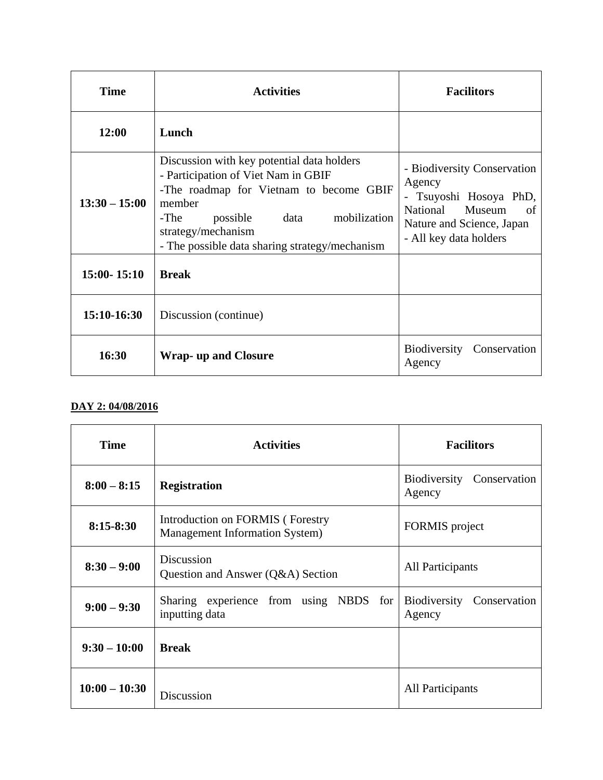| <b>Time</b>     | <b>Activities</b>                                                                                                                                                                                                                                          | <b>Facilitors</b>                                                                                                                                  |
|-----------------|------------------------------------------------------------------------------------------------------------------------------------------------------------------------------------------------------------------------------------------------------------|----------------------------------------------------------------------------------------------------------------------------------------------------|
| 12:00           | Lunch                                                                                                                                                                                                                                                      |                                                                                                                                                    |
| $13:30 - 15:00$ | Discussion with key potential data holders<br>- Participation of Viet Nam in GBIF<br>-The roadmap for Vietnam to become GBIF<br>member<br>-The<br>mobilization<br>data<br>possible<br>strategy/mechanism<br>- The possible data sharing strategy/mechanism | - Biodiversity Conservation<br>Agency<br>- Tsuyoshi Hosoya PhD,<br>National<br>Museum<br>of<br>Nature and Science, Japan<br>- All key data holders |
| $15:00 - 15:10$ | <b>Break</b>                                                                                                                                                                                                                                               |                                                                                                                                                    |
| 15:10-16:30     | Discussion (continue)                                                                                                                                                                                                                                      |                                                                                                                                                    |
| 16:30           | <b>Wrap-</b> up and Closure                                                                                                                                                                                                                                | Biodiversity<br>Conservation<br>Agency                                                                                                             |

## **DAY 2: 04/08/2016**

| <b>Time</b>     | <b>Activities</b>                                                          | <b>Facilitors</b>                   |
|-----------------|----------------------------------------------------------------------------|-------------------------------------|
| $8:00 - 8:15$   | <b>Registration</b>                                                        | Biodiversity Conservation<br>Agency |
| $8:15 - 8:30$   | Introduction on FORMIS (Forestry<br><b>Management Information System</b> ) | FORMIS project                      |
| $8:30 - 9:00$   | Discussion<br>Question and Answer (Q&A) Section                            | All Participants                    |
| $9:00 - 9:30$   | Sharing experience from using NBDS for<br>inputting data                   | Biodiversity Conservation<br>Agency |
| $9:30 - 10:00$  | <b>Break</b>                                                               |                                     |
| $10:00 - 10:30$ | Discussion                                                                 | All Participants                    |